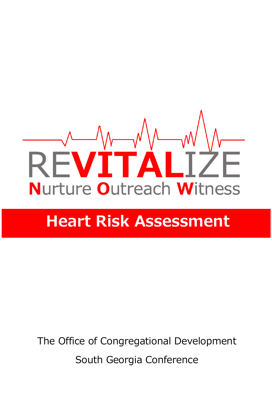

## **Heart Risk Assessment**

The Office of Congregational Development South Georgia Conference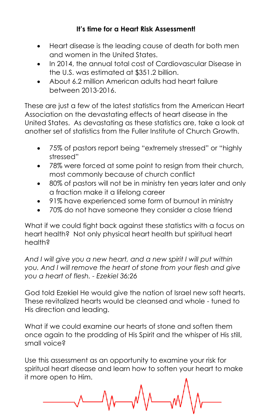#### **It's time for a Heart Risk Assessment!**

- Heart disease is the leading cause of death for both men and women in the United States.
- In 2014, the annual total cost of Cardiovascular Disease in the U.S. was estimated at \$351.2 billion.
- About 6.2 million American adults had heart failure between 2013-2016.

These are just a few of the latest statistics from the American Heart Association on the devastating effects of heart disease in the United States. As devastating as these statistics are, take a look at another set of statistics from the Fuller Institute of Church Growth.

- 75% of pastors report being "extremely stressed" or "highly stressed"
- 78% were forced at some point to resign from their church, most commonly because of church conflict
- 80% of pastors will not be in ministry ten years later and only a fraction make it a lifelong career
- 91% have experienced some form of burnout in ministry
- 70% do not have someone they consider a close friend

What if we could fight back against these statistics with a focus on heart health? Not only physical heart health but spiritual heart health?

*And I will give you a new heart, and a new spirit I will put within you. And I will remove the heart of stone from your flesh and give you a heart of flesh. - Ezekiel 36:26*

God told Ezekiel He would give the nation of Israel new soft hearts. These revitalized hearts would be cleansed and whole - tuned to His direction and leading.

What if we could examine our hearts of stone and soften them once again to the prodding of His Spirit and the whisper of His still, small voice?

Use this assessment as an opportunity to examine your risk for spiritual heart disease and learn how to soften your heart to make it more open to Him.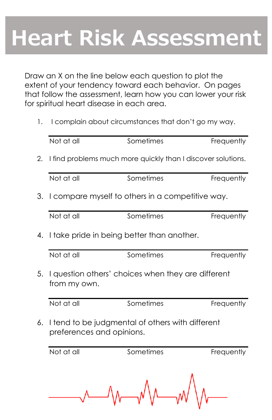# **Heart Risk Assessment**

Draw an X on the line below each question to plot the extent of your tendency toward each behavior. On pages that follow the assessment, learn how you can lower your risk for spiritual heart disease in each area.

1. I complain about circumstances that don't go my way.

|    | Not at all                                                                    | Sometimes                                                    | Frequently |
|----|-------------------------------------------------------------------------------|--------------------------------------------------------------|------------|
| 2. |                                                                               | I find problems much more quickly than I discover solutions. |            |
|    | Not at all                                                                    | Sometimes                                                    | Frequently |
| 3. |                                                                               | I compare myself to others in a competitive way.             |            |
|    | Not at all                                                                    | Sometimes                                                    | Frequently |
| 4. |                                                                               | I take pride in being better than another.                   |            |
|    | Not at all                                                                    | Sometimes                                                    | Frequently |
| 5. | from my own.                                                                  | I question others' choices when they are different           |            |
|    | Not at all                                                                    | Sometimes                                                    | Frequently |
| 6. | I tend to be judgmental of others with different<br>preferences and opinions. |                                                              |            |
|    | Not at all                                                                    | Sometimes                                                    | Frequently |
|    |                                                                               |                                                              |            |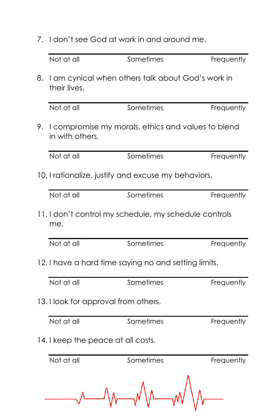7. I don't see God at work in and around me.

|    | Not at all                                                   | Sometimes                                          | Frequently |  |
|----|--------------------------------------------------------------|----------------------------------------------------|------------|--|
| 8. | their lives.                                                 | I am cynical when others talk about God's work in  |            |  |
|    | Not at all                                                   | Sometimes                                          | Frequently |  |
| 9. | in with others.                                              | I compromise my morals, ethics and values to blend |            |  |
|    | Not at all                                                   | Sometimes                                          | Frequently |  |
|    | 10. I rationalize, justify and excuse my behaviors.          |                                                    |            |  |
|    | Not at all                                                   | Sometimes                                          | Frequently |  |
|    | 11. I don't control my schedule, my schedule controls<br>me. |                                                    |            |  |
|    | Not at all                                                   | Sometimes                                          | Frequently |  |
|    | 12. I have a hard time saying no and setting limits.         |                                                    |            |  |
|    | Not at all                                                   | Sometimes                                          | Frequently |  |
|    | 13. I look for approval from others.                         |                                                    |            |  |
|    | Not at all                                                   | Sometimes                                          | Frequently |  |
|    | 14. I keep the peace at all costs.                           |                                                    |            |  |
|    | Not at all                                                   | Sometimes                                          | Frequently |  |
|    |                                                              |                                                    |            |  |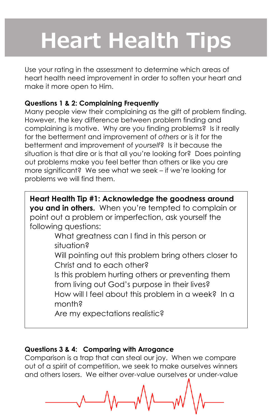# **Heart Health Tips**

Use your rating in the assessment to determine which areas of heart health need improvement in order to soften your heart and make it more open to Him.

#### **Questions 1 & 2: Complaining Frequently**

Many people view their complaining as the gift of problem finding. However, the key difference between problem finding and complaining is motive. Why are you finding problems? Is it really for the betterment and improvement of *others* or is it for the betterment and improvement of *yourself*? Is it because the situation is that dire or is that all you're looking for? Does pointing out problems make you feel better than others or like you are more significant? We see what we seek – if we're looking for problems we will find them.

**Heart Health Tip #1: Acknowledge the goodness around you and in others.** When you're tempted to complain or point out a problem or imperfection, ask yourself the following questions:

What greatness can I find in this person or situation?

Will pointing out this problem bring others closer to Christ and to each other?

Is this problem hurting others or preventing them from living out God's purpose in their lives?

How will I feel about this problem in a week? In a month?

Are my expectations realistic?

### **Questions 3 & 4: Comparing with Arrogance**

Comparison is a trap that can steal our joy. When we compare out of a spirit of competition, we seek to make ourselves winners and others losers. We either over-value ourselves or under-value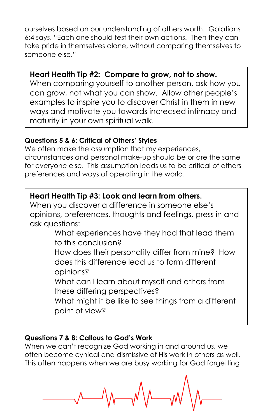ourselves based on our understanding of others worth. Galatians 6:4 says, "Each one should test their own actions. Then they can take pride in themselves alone, without comparing themselves to someone else."

#### **Heart Health Tip #2: Compare to grow, not to show.**

When comparing yourself to another person, ask how you can grow, not what you can show. Allow other people's examples to inspire you to discover Christ in them in new ways and motivate you towards increased intimacy and maturity in your own spiritual walk.

#### **Questions 5 & 6: Critical of Others' Styles**

We often make the assumption that my experiences, circumstances and personal make-up should be or are the same for everyone else. This assumption leads us to be critical of others preferences and ways of operating in the world.

### **Heart Health Tip #3: Look and learn from others.**

When you discover a difference in someone else's opinions, preferences, thoughts and feelings, press in and ask questions:

What experiences have they had that lead them to this conclusion?

How does their personality differ from mine? How does this difference lead us to form different opinions?

What can I learn about myself and others from these differing perspectives?

What might it be like to see things from a different point of view?

#### **Questions 7 & 8: Callous to God's Work**

When we can't recognize God working in and around us, we often become cynical and dismissive of His work in others as well. This often happens when we are busy working for God forgetting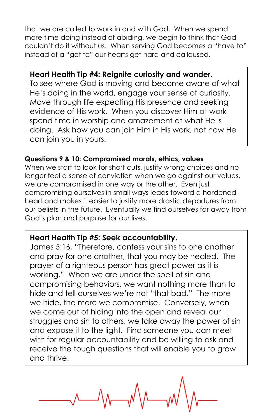that we are called to work in and with God. When we spend more time doing instead of abiding, we begin to think that God couldn't do it without us. When serving God becomes a "have to" instead of a "get to" our hearts get hard and calloused.

#### **Heart Health Tip #4: Reignite curiosity and wonder.**

To see where God is moving and become aware of what He's doing in the world, engage your sense of curiosity. Move through life expecting His presence and seeking evidence of His work. When you discover Him at work spend time in worship and amazement at what He is doing. Ask how you can join Him in His work, not how He can join you in yours.

#### **Questions 9 & 10: Compromised morals, ethics, values**

When we start to look for short cuts, justify wrong choices and no longer feel a sense of conviction when we go against our values, we are compromised in one way or the other. Even just compromising ourselves in small ways leads toward a hardened heart and makes it easier to justify more drastic departures from our beliefs in the future. Eventually we find ourselves far away from God's plan and purpose for our lives.

#### **Heart Health Tip #5: Seek accountability.**

James 5:16, "Therefore, confess your sins to one another and pray for one another, that you may be healed. The prayer of a righteous person has great power as it is working." When we are under the spell of sin and compromising behaviors, we want nothing more than to hide and tell ourselves we're not "that bad." The more we hide, the more we compromise. Conversely, when we come out of hiding into the open and reveal our struggles and sin to others, we take away the power of sin and expose it to the light. Find someone you can meet with for regular accountability and be willing to ask and receive the tough questions that will enable you to grow and thrive.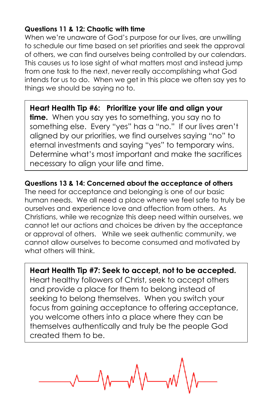#### **Questions 11 & 12: Chaotic with time**

When we're unaware of God's purpose for our lives, are unwilling to schedule our time based on set priorities and seek the approval of others, we can find ourselves being controlled by our calendars. This causes us to lose sight of what matters most and instead jump from one task to the next, never really accomplishing what God intends for us to do. When we get in this place we often say yes to things we should be saying no to.

**Heart Health Tip #6: Prioritize your life and align your time.** When you say yes to something, you say no to something else. Every "yes" has a "no." If our lives aren't aligned by our priorities, we find ourselves saying "no" to eternal investments and saying "yes" to temporary wins. Determine what's most important and make the sacrifices necessary to align your life and time.

**Questions 13 & 14: Concerned about the acceptance of others** The need for acceptance and belonging is one of our basic human needs. We all need a place where we feel safe to truly be ourselves and experience love and affection from others. As Christians, while we recognize this deep need within ourselves, we cannot let our actions and choices be driven by the acceptance or approval of others. While we seek authentic community, we cannot allow ourselves to become consumed and motivated by what others will think.

**Heart Health Tip #7: Seek to accept, not to be accepted.** Heart healthy followers of Christ, seek to accept others and provide a place for them to belong instead of seeking to belong themselves. When you switch your focus from gaining acceptance to offering acceptance, you welcome others into a place where they can be themselves authentically and truly be the people God created them to be.